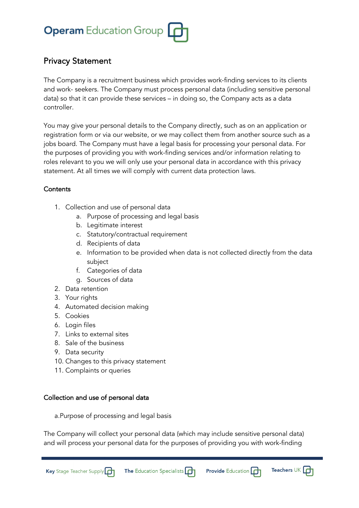

### Privacy Statement

The Company is a recruitment business which provides work-finding services to its clients and work- seekers. The Company must process personal data (including sensitive personal data) so that it can provide these services – in doing so, the Company acts as a data controller.

You may give your personal details to the Company directly, such as on an application or registration form or via our website, or we may collect them from another source such as a jobs board. The Company must have a legal basis for processing your personal data. For the purposes of providing you with work-finding services and/or information relating to roles relevant to you we will only use your personal data in accordance with this privacy statement. At all times we will comply with current data protection laws.

### **Contents**

- 1. Collection and use of personal data
	- a. Purpose of processing and legal basis
	- b. Legitimate interest
	- c. Statutory/contractual requirement
	- d. Recipients of data
	- e. Information to be provided when data is not collected directly from the data subject
	- f. Categories of data
	- g. Sources of data
- 2. Data retention
- 3. Your rights
- 4. Automated decision making
- 5. Cookies
- 6. Login files
- 7. Links to external sites
- 8. Sale of the business
- 9. Data security
- 10. Changes to this privacy statement
- 11. Complaints or queries

### Collection and use of personal data

a.Purpose of processing and legal basis

The Company will collect your personal data (which may include sensitive personal data) and will process your personal data for the purposes of providing you with work-finding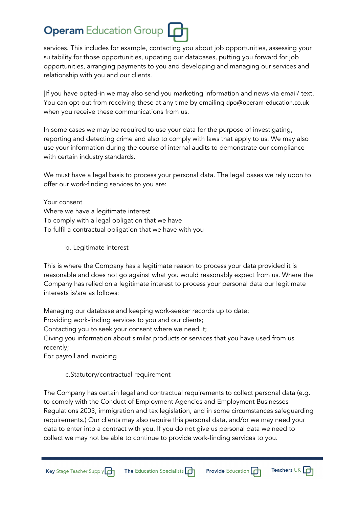services. This includes for example, contacting you about job opportunities, assessing your suitability for those opportunities, updating our databases, putting you forward for job opportunities, arranging payments to you and developing and managing our services and relationship with you and our clients.

[If you have opted-in we may also send you marketing information and news via email/ text. You can opt-out from receiving these at any time by emailing dpo@operam-education.co.uk when you receive these communications from us.

In some cases we may be required to use your data for the purpose of investigating, reporting and detecting crime and also to comply with laws that apply to us. We may also use your information during the course of internal audits to demonstrate our compliance with certain industry standards.

We must have a legal basis to process your personal data. The legal bases we rely upon to offer our work-finding services to you are:

Your consent Where we have a legitimate interest To comply with a legal obligation that we have To fulfil a contractual obligation that we have with you

b. Legitimate interest

This is where the Company has a legitimate reason to process your data provided it is reasonable and does not go against what you would reasonably expect from us. Where the Company has relied on a legitimate interest to process your personal data our legitimate interests is/are as follows:

Managing our database and keeping work-seeker records up to date; Providing work-finding services to you and our clients; Contacting you to seek your consent where we need it; Giving you information about similar products or services that you have used from us recently; For payroll and invoicing

c.Statutory/contractual requirement

The Company has certain legal and contractual requirements to collect personal data (e.g. to comply with the Conduct of Employment Agencies and Employment Businesses Regulations 2003, immigration and tax legislation, and in some circumstances safeguarding requirements.) Our clients may also require this personal data, and/or we may need your data to enter into a contract with you. If you do not give us personal data we need to collect we may not be able to continue to provide work-finding services to you.





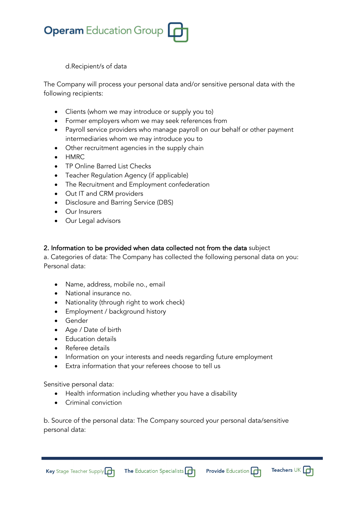

d.Recipient/s of data

The Company will process your personal data and/or sensitive personal data with the following recipients:

- Clients (whom we may introduce or supply you to)
- Former employers whom we may seek references from
- Payroll service providers who manage payroll on our behalf or other payment intermediaries whom we may introduce you to
- Other recruitment agencies in the supply chain
- HMRC
- TP Online Barred List Checks
- Teacher Regulation Agency (if applicable)
- The Recruitment and Employment confederation
- Out IT and CRM providers
- Disclosure and Barring Service (DBS)
- Our Insurers
- Our Legal advisors

### 2. Information to be provided when data collected not from the data subject

a. Categories of data: The Company has collected the following personal data on you: Personal data:

- Name, address, mobile no., email
- National insurance no.
- Nationality (through right to work check)
- Employment / background history
- Gender
- Age / Date of birth
- Education details
- Referee details
- Information on your interests and needs regarding future employment
- Extra information that your referees choose to tell us

Sensitive personal data:

- Health information including whether you have a disability
- Criminal conviction

b. Source of the personal data: The Company sourced your personal data/sensitive personal data:

**The Education Specialists** 



Teachers UK  $\Box$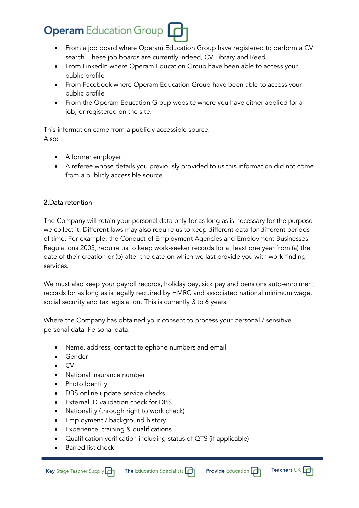- From a job board where Operam Education Group have registered to perform a CV search. These job boards are currently indeed, CV Library and Reed.
- From LinkedIn where Operam Education Group have been able to access your public profile
- From Facebook where Operam Education Group have been able to access your public profile
- From the Operam Education Group website where you have either applied for a job, or registered on the site.

This information came from a publicly accessible source. Also:

- A former employer
- A referee whose details you previously provided to us this information did not come from a publicly accessible source.

### 2.Data retention

The Company will retain your personal data only for as long as is necessary for the purpose we collect it. Different laws may also require us to keep different data for different periods of time. For example, the Conduct of Employment Agencies and Employment Businesses Regulations 2003, require us to keep work-seeker records for at least one year from (a) the date of their creation or (b) after the date on which we last provide you with work-finding services.

We must also keep your payroll records, holiday pay, sick pay and pensions auto-enrolment records for as long as is legally required by HMRC and associated national minimum wage, social security and tax legislation. This is currently 3 to 6 years.

Where the Company has obtained your consent to process your personal / sensitive personal data: Personal data:

- Name, address, contact telephone numbers and email
- Gender
- CV
- National insurance number
- Photo Identity
- DBS online update service checks
- External ID validation check for DBS
- Nationality (through right to work check)
- Employment / background history
- Experience, training & qualifications
- Qualification verification including status of QTS (if applicable)
- Barred list check

Key Stage Teacher Supply

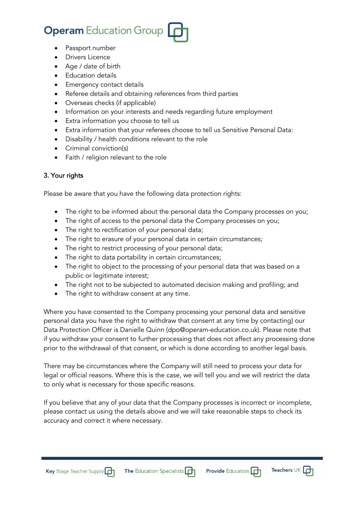- Passport number
- Drivers Licence
- Age / date of birth
- Education details
- Emergency contact details
- Referee details and obtaining references from third parties
- Overseas checks (if applicable)
- Information on your interests and needs regarding future employment
- Extra information you choose to tell us
- Extra information that your referees choose to tell us Sensitive Personal Data:
- Disability / health conditions relevant to the role
- Criminal conviction(s)
- Faith / religion relevant to the role

### 3. Your rights

Please be aware that you have the following data protection rights:

- The right to be informed about the personal data the Company processes on you;
- The right of access to the personal data the Company processes on you;
- The right to rectification of your personal data;
- The right to erasure of your personal data in certain circumstances;
- The right to restrict processing of your personal data;
- The right to data portability in certain circumstances;
- The right to object to the processing of your personal data that was based on a public or legitimate interest;
- The right not to be subjected to automated decision making and profiling; and
- The right to withdraw consent at any time.

Where you have consented to the Company processing your personal data and sensitive personal data you have the right to withdraw that consent at any time by contacting) our Data Protection Officer is Danielle Quinn (dpo@operam-education.co.uk). Please note that if you withdraw your consent to further processing that does not affect any processing done prior to the withdrawal of that consent, or which is done according to another legal basis.

There may be circumstances where the Company will still need to process your data for legal or official reasons. Where this is the case, we will tell you and we will restrict the data to only what is necessary for those specific reasons.

If you believe that any of your data that the Company processes is incorrect or incomplete, please contact us using the details above and we will take reasonable steps to check its accuracy and correct it where necessary.

Key Stage Teacher Supply

The Education Specialists [



Teachers UK **n**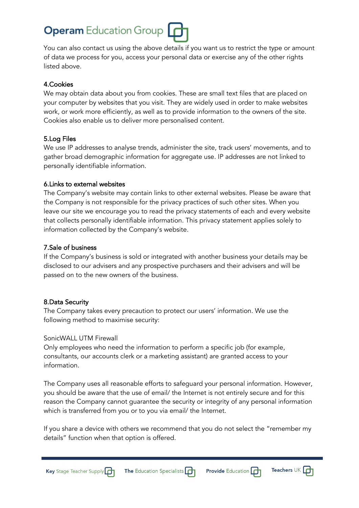You can also contact us using the above details if you want us to restrict the type or amount of data we process for you, access your personal data or exercise any of the other rights listed above.

### 4.Cookies

We may obtain data about you from cookies. These are small text files that are placed on your computer by websites that you visit. They are widely used in order to make websites work, or work more efficiently, as well as to provide information to the owners of the site. Cookies also enable us to deliver more personalised content.

### 5.Log Files

We use IP addresses to analyse trends, administer the site, track users' movements, and to gather broad demographic information for aggregate use. IP addresses are not linked to personally identifiable information.

### 6.Links to external websites

The Company's website may contain links to other external websites. Please be aware that the Company is not responsible for the privacy practices of such other sites. When you leave our site we encourage you to read the privacy statements of each and every website that collects personally identifiable information. This privacy statement applies solely to information collected by the Company's website.

### 7.Sale of business

If the Company's business is sold or integrated with another business your details may be disclosed to our advisers and any prospective purchasers and their advisers and will be passed on to the new owners of the business.

### 8.Data Security

The Company takes every precaution to protect our users' information. We use the following method to maximise security:

### SonicWALL UTM Firewall

Only employees who need the information to perform a specific job (for example, consultants, our accounts clerk or a marketing assistant) are granted access to your information.

The Company uses all reasonable efforts to safeguard your personal information. However, you should be aware that the use of email/ the Internet is not entirely secure and for this reason the Company cannot guarantee the security or integrity of any personal information which is transferred from you or to you via email/ the Internet.

If you share a device with others we recommend that you do not select the "remember my details" function when that option is offered.